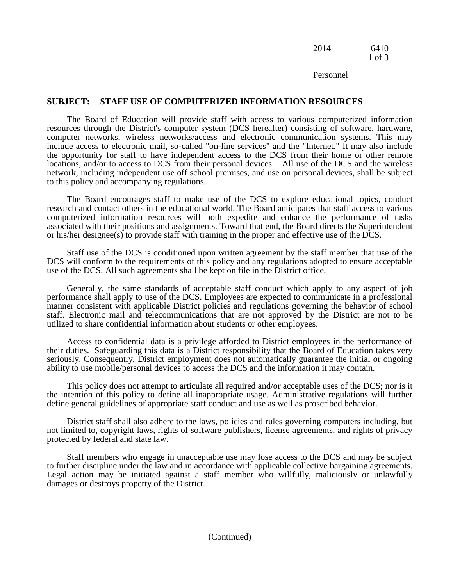## 2014 6410 1 of 3

Personnel

# **SUBJECT: STAFF USE OF COMPUTERIZED INFORMATION RESOURCES**

The Board of Education will provide staff with access to various computerized information resources through the District's computer system (DCS hereafter) consisting of software, hardware, computer networks, wireless networks/access and electronic communication systems. This may include access to electronic mail, so-called "on-line services" and the "Internet." It may also include the opportunity for staff to have independent access to the DCS from their home or other remote locations, and/or to access to DCS from their personal devices. All use of the DCS and the wireless network, including independent use off school premises, and use on personal devices, shall be subject to this policy and accompanying regulations.

The Board encourages staff to make use of the DCS to explore educational topics, conduct research and contact others in the educational world. The Board anticipates that staff access to various computerized information resources will both expedite and enhance the performance of tasks associated with their positions and assignments. Toward that end, the Board directs the Superintendent or his/her designee(s) to provide staff with training in the proper and effective use of the DCS.

Staff use of the DCS is conditioned upon written agreement by the staff member that use of the DCS will conform to the requirements of this policy and any regulations adopted to ensure acceptable use of the DCS. All such agreements shall be kept on file in the District office.

Generally, the same standards of acceptable staff conduct which apply to any aspect of job performance shall apply to use of the DCS. Employees are expected to communicate in a professional manner consistent with applicable District policies and regulations governing the behavior of school staff. Electronic mail and telecommunications that are not approved by the District are not to be utilized to share confidential information about students or other employees.

Access to confidential data is a privilege afforded to District employees in the performance of their duties. Safeguarding this data is a District responsibility that the Board of Education takes very seriously. Consequently, District employment does not automatically guarantee the initial or ongoing ability to use mobile/personal devices to access the DCS and the information it may contain.

This policy does not attempt to articulate all required and/or acceptable uses of the DCS; nor is it the intention of this policy to define all inappropriate usage. Administrative regulations will further define general guidelines of appropriate staff conduct and use as well as proscribed behavior.

District staff shall also adhere to the laws, policies and rules governing computers including, but not limited to, copyright laws, rights of software publishers, license agreements, and rights of privacy protected by federal and state law.

Staff members who engage in unacceptable use may lose access to the DCS and may be subject to further discipline under the law and in accordance with applicable collective bargaining agreements. Legal action may be initiated against a staff member who willfully, maliciously or unlawfully damages or destroys property of the District.

(Continued)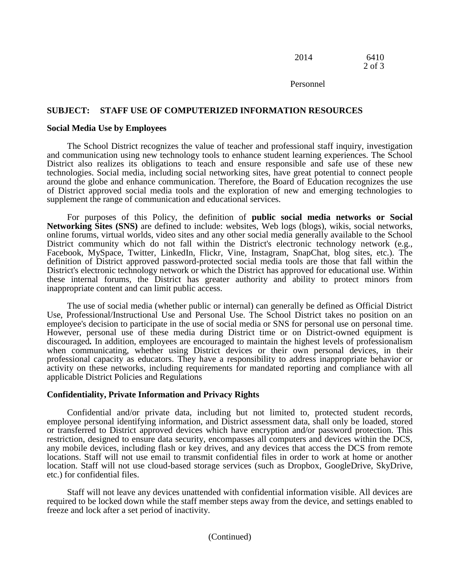| 2014 | 6410   |
|------|--------|
|      | 2 of 3 |

Personnel

## **SUBJECT: STAFF USE OF COMPUTERIZED INFORMATION RESOURCES**

#### **Social Media Use by Employees**

The School District recognizes the value of teacher and professional staff inquiry, investigation and communication using new technology tools to enhance student learning experiences. The School District also realizes its obligations to teach and ensure responsible and safe use of these new technologies. Social media, including social networking sites, have great potential to connect people around the globe and enhance communication. Therefore, the Board of Education recognizes the use of District approved social media tools and the exploration of new and emerging technologies to supplement the range of communication and educational services.

For purposes of this Policy, the definition of **public social media networks or Social Networking Sites (SNS)** are defined to include: websites, Web logs (blogs), wikis, social networks, online forums, virtual worlds, video sites and any other social media generally available to the School District community which do not fall within the District's electronic technology network (e.g., Facebook, MySpace, Twitter, LinkedIn, Flickr, Vine, Instagram, SnapChat, blog sites, etc.). The definition of District approved password-protected social media tools are those that fall within the District's electronic technology network or which the District has approved for educational use. Within these internal forums, the District has greater authority and ability to protect minors from inappropriate content and can limit public access.

The use of social media (whether public or internal) can generally be defined as Official District Use, Professional/Instructional Use and Personal Use. The School District takes no position on an employee's decision to participate in the use of social media or SNS for personal use on personal time. However, personal use of these media during District time or on District-owned equipment is discouraged*.* In addition, employees are encouraged to maintain the highest levels of professionalism when communicating, whether using District devices or their own personal devices, in their professional capacity as educators. They have a responsibility to address inappropriate behavior or activity on these networks, including requirements for mandated reporting and compliance with all applicable District Policies and Regulations

### **Confidentiality, Private Information and Privacy Rights**

Confidential and/or private data, including but not limited to, protected student records, employee personal identifying information, and District assessment data, shall only be loaded, stored or transferred to District approved devices which have encryption and/or password protection. This restriction, designed to ensure data security, encompasses all computers and devices within the DCS, any mobile devices, including flash or key drives, and any devices that access the DCS from remote locations. Staff will not use email to transmit confidential files in order to work at home or another location. Staff will not use cloud-based storage services (such as Dropbox, GoogleDrive, SkyDrive, etc.) for confidential files.

Staff will not leave any devices unattended with confidential information visible. All devices are required to be locked down while the staff member steps away from the device, and settings enabled to freeze and lock after a set period of inactivity.

### (Continued)